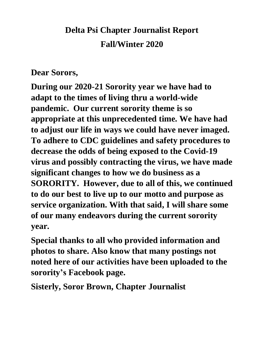## **Delta Psi Chapter Journalist Report Fall/Winter 2020**

## **Dear Sorors,**

**During our 2020-21 Sorority year we have had to adapt to the times of living thru a world-wide pandemic. Our current sorority theme is so appropriate at this unprecedented time. We have had to adjust our life in ways we could have never imaged. To adhere to CDC guidelines and safety procedures to decrease the odds of being exposed to the Covid-19 virus and possibly contracting the virus, we have made significant changes to how we do business as a SORORITY. However, due to all of this, we continued to do our best to live up to our motto and purpose as service organization. With that said, I will share some of our many endeavors during the current sorority year.**

**Special thanks to all who provided information and photos to share. Also know that many postings not noted here of our activities have been uploaded to the sorority's Facebook page.**

**Sisterly, Soror Brown, Chapter Journalist**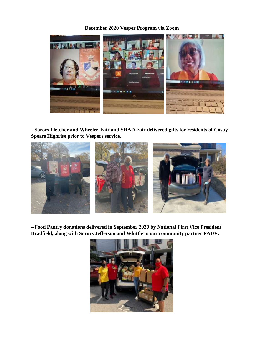## **December 2020 Vesper Program via Zoom**



**--Sorors Fletcher and Wheeler-Fair and SHAD Fair delivered gifts for residents of Cosby Spears Highrise prior to Vespers service.**



**--Food Pantry donations delivered in September 2020 by National First Vice President Bradfield, along with Sorors Jefferson and Whittle to our community partner PADV.**

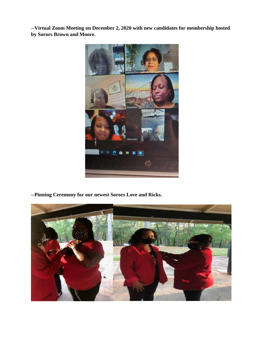**--Virtual Zoom Meeting on December 2, 2020 with new candidates for membership hosted by Sorors Brown and Moore.** 



**--Pinning Ceremony for our newest Sorors Love and Ricks.**